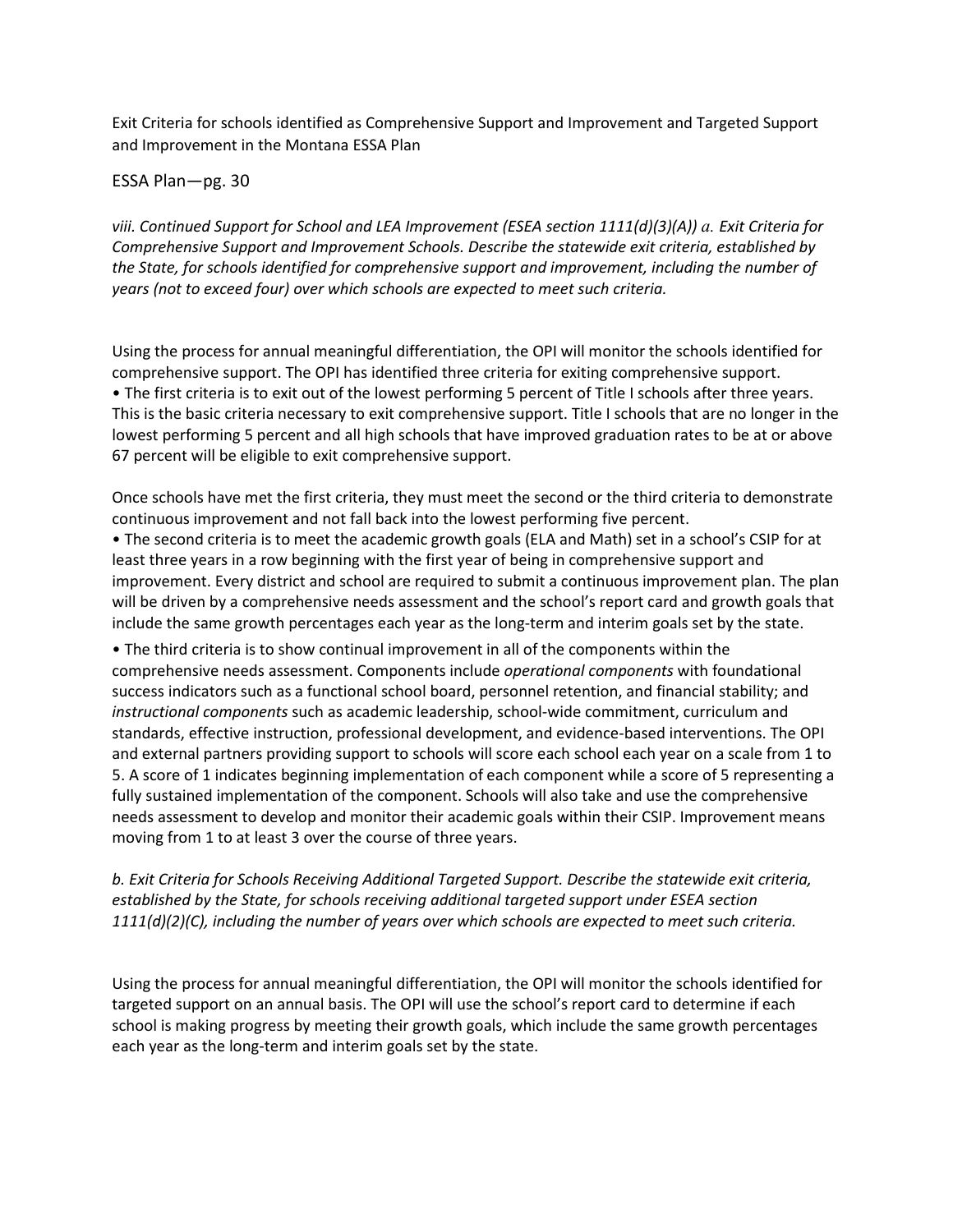Exit Criteria for schools identified as Comprehensive Support and Improvement and Targeted Support and Improvement in the Montana ESSA Plan

ESSA Plan—pg. 30

*viii. Continued Support for School and LEA Improvement (ESEA section 1111(d)(3)(A)) a. Exit Criteria for Comprehensive Support and Improvement Schools. Describe the statewide exit criteria, established by the State, for schools identified for comprehensive support and improvement, including the number of years (not to exceed four) over which schools are expected to meet such criteria.* 

Using the process for annual meaningful differentiation, the OPI will monitor the schools identified for comprehensive support. The OPI has identified three criteria for exiting comprehensive support. • The first criteria is to exit out of the lowest performing 5 percent of Title I schools after three years. This is the basic criteria necessary to exit comprehensive support. Title I schools that are no longer in the lowest performing 5 percent and all high schools that have improved graduation rates to be at or above 67 percent will be eligible to exit comprehensive support.

Once schools have met the first criteria, they must meet the second or the third criteria to demonstrate continuous improvement and not fall back into the lowest performing five percent.

• The second criteria is to meet the academic growth goals (ELA and Math) set in a school's CSIP for at least three years in a row beginning with the first year of being in comprehensive support and improvement. Every district and school are required to submit a continuous improvement plan. The plan will be driven by a comprehensive needs assessment and the school's report card and growth goals that include the same growth percentages each year as the long-term and interim goals set by the state.

• The third criteria is to show continual improvement in all of the components within the comprehensive needs assessment. Components include *operational components* with foundational success indicators such as a functional school board, personnel retention, and financial stability; and *instructional components* such as academic leadership, school-wide commitment, curriculum and standards, effective instruction, professional development, and evidence-based interventions. The OPI and external partners providing support to schools will score each school each year on a scale from 1 to 5. A score of 1 indicates beginning implementation of each component while a score of 5 representing a fully sustained implementation of the component. Schools will also take and use the comprehensive needs assessment to develop and monitor their academic goals within their CSIP. Improvement means moving from 1 to at least 3 over the course of three years.

*b. Exit Criteria for Schools Receiving Additional Targeted Support. Describe the statewide exit criteria, established by the State, for schools receiving additional targeted support under ESEA section 1111(d)(2)(C), including the number of years over which schools are expected to meet such criteria.* 

Using the process for annual meaningful differentiation, the OPI will monitor the schools identified for targeted support on an annual basis. The OPI will use the school's report card to determine if each school is making progress by meeting their growth goals, which include the same growth percentages each year as the long-term and interim goals set by the state.